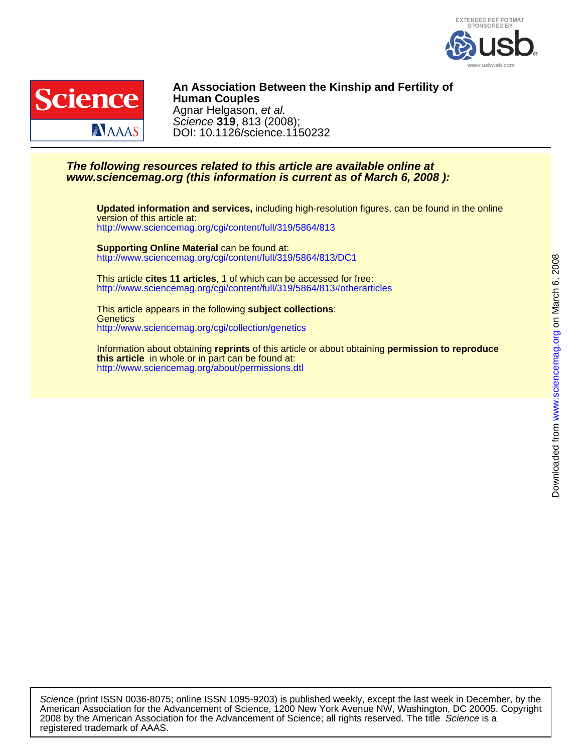



DOI: 10.1126/science.1150232 Science **319**, 813 (2008); Agnar Helgason, et al. **Human Couples An Association Between the Kinship and Fertility of**

### **www.sciencemag.org (this information is current as of March 6, 2008 ): The following resources related to this article are available online at**

<http://www.sciencemag.org/cgi/content/full/319/5864/813> version of this article at: **Updated information and services,** including high-resolution figures, can be found in the online

<http://www.sciencemag.org/cgi/content/full/319/5864/813/DC1> **Supporting Online Material** can be found at:

<http://www.sciencemag.org/cgi/content/full/319/5864/813#otherarticles> This article **cites 11 articles**, 1 of which can be accessed for free:

<http://www.sciencemag.org/cgi/collection/genetics> **Genetics** This article appears in the following **subject collections**:

<http://www.sciencemag.org/about/permissions.dtl> **this article** in whole or in part can be found at: Information about obtaining **reprints** of this article or about obtaining **permission to reproduce**

registered trademark of AAAS. 2008 by the American Association for the Advancement of Science; all rights reserved. The title Science is a American Association for the Advancement of Science, 1200 New York Avenue NW, Washington, DC 20005. Copyright Science (print ISSN 0036-8075; online ISSN 1095-9203) is published weekly, except the last week in December, by the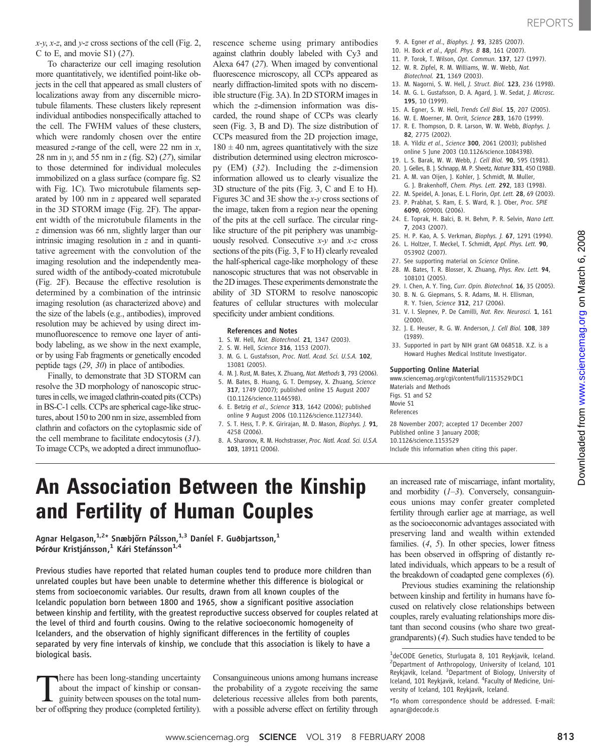To characterize our cell imaging resolution more quantitatively, we identified point-like objects in the cell that appeared as small clusters of localizations away from any discernible microtubule filaments. These clusters likely represent individual antibodies nonspecifically attached to the cell. The FWHM values of these clusters, which were randomly chosen over the entire measured z-range of the cell, were 22 nm in  $x$ , 28 nm in  $y$ , and 55 nm in  $z$  (fig. S2) (27), similar to those determined for individual molecules immobilized on a glass surface (compare fig. S2 with Fig. 1C). Two microtubule filaments separated by 100 nm in z appeared well separated in the 3D STORM image (Fig. 2F). The apparent width of the microtubule filaments in the z dimension was 66 nm, slightly larger than our intrinsic imaging resolution in z and in quantitative agreement with the convolution of the imaging resolution and the independently measured width of the antibody-coated microtubule (Fig. 2F). Because the effective resolution is determined by a combination of the intrinsic imaging resolution (as characterized above) and the size of the labels (e.g., antibodies), improved resolution may be achieved by using direct immunofluorescence to remove one layer of antibody labeling, as we show in the next example, or by using Fab fragments or genetically encoded peptide tags (29, 30) in place of antibodies.

Finally, to demonstrate that 3D STORM can resolve the 3D morphology of nanoscopic structures in cells, we imaged clathrin-coated pits (CCPs) in BS-C-1 cells. CCPs are spherical cage-like structures, about 150 to 200 nm in size, assembled from clathrin and cofactors on the cytoplasmic side of the cell membrane to facilitate endocytosis (31). To image CCPs, we adopted a direct immunofluorescence scheme using primary antibodies against clathrin doubly labeled with Cy3 and Alexa 647 (27). When imaged by conventional fluorescence microscopy, all CCPs appeared as nearly diffraction-limited spots with no discernible structure (Fig. 3A). In 2D STORM images in which the z-dimension information was discarded, the round shape of CCPs was clearly seen (Fig. 3, B and D). The size distribution of CCPs measured from the 2D projection image,  $180 \pm 40$  nm, agrees quantitatively with the size distribution determined using electron microscopy  $(EM)$   $(32)$ . Including the z-dimension information allowed us to clearly visualize the 3D structure of the pits (Fig. 3, C and E to H). Figures 3C and 3E show the  $x-y$  cross sections of the image, taken from a region near the opening of the pits at the cell surface. The circular ringlike structure of the pit periphery was unambiguously resolved. Consecutive  $x-y$  and  $x-z$  cross sections of the pits (Fig. 3, F to H) clearly revealed the half-spherical cage-like morphology of these nanoscopic structures that was not observable in the 2D images. These experiments demonstrate the ability of 3D STORM to resolve nanoscopic features of cellular structures with molecular specificity under ambient conditions.

#### References and Notes

- 1. S. W. Hell, Nat. Biotechnol. 21, 1347 (2003).
- 2. S. W. Hell, Science 316, 1153 (2007).
- 3. M. G. L. Gustafsson, Proc. Natl. Acad. Sci. U.S.A. 102. 13081 (2005).
- 4. M. J. Rust, M. Bates, X. Zhuang, Nat. Methods 3, 793 (2006).
- 5. M. Bates, B. Huang, G. T. Dempsey, X. Zhuang, Science 317, 1749 (2007); published online 15 August 2007 (10.1126/science.1146598).
- 6. E. Betzig et al., Science 313, 1642 (2006); published online 9 August 2006 (10.1126/science.1127344).
- 7. S. T. Hess, T. P. K. Girirajan, M. D. Mason, Biophys. J. 91, 4258 (2006).
- 8. A. Sharonov, R. M. Hochstrasser, Proc. Natl. Acad. Sci. U.S.A. 103, 18911 (2006).
- 9. A. Egner et al., Biophys. J. 93, 3285 (2007).
- 10. H. Bock et al., Appl. Phys. B 88, 161 (2007). 11. P. Torok, T. Wilson, Opt. Commun. 137, 127 (1997).
- 12. W. R. Zipfel, R. M. Williams, W. W. Webb, Nat. Biotechnol. 21, 1369 (2003).
- 13. M. Nagorni, S. W. Hell, J. Struct. Biol. 123, 236 (1998).
- 14. M. G. L. Gustafsson, D. A. Agard, J. W. Sedat, J. Microsc.
- 195, 10 (1999).
- 15. A. Egner, S. W. Hell, Trends Cell Biol. 15, 207 (2005). 16. W. E. Moerner, M. Orrit, Science 283, 1670 (1999).
- 17. R. E. Thompson, D. R. Larson, W. W. Webb, Biophys. J. 82, 2775 (2002).
- 18. A. Yildiz et al., Science 300, 2061 (2003); published online 5 June 2003 (10.1126/science.1084398).
- 19. L. S. Barak, W. W. Webb, J. Cell Biol. 90, 595 (1981).
- 20. J. Gelles, B. J. Schnapp, M. P. Sheetz, Nature 331, 450 (1988).
- 21. A. M. van Oijen, J. Kohler, J. Schmidt, M. Muller, G. J. Brakenhoff, Chem. Phys. Lett. 292, 183 (1998).
- 22. M. Speidel, A. Jonas, E. L. Florin, Opt. Lett. 28, 69 (2003).
- 23. P. Prabhat, S. Ram, E. S. Ward, R. J. Ober, Proc. SPIE 6090, 60900L (2006).
- 24. E. Toprak, H. Balci, B. H. Behm, P. R. Selvin, Nano Lett. 7, 2043 (2007).
- 25. H. P. Kao, A. S. Verkman, Biophys. J. 67, 1291 (1994).
- 26. L. Holtzer, T. Meckel, T. Schmidt, Appl. Phys. Lett. 90,
- 053902 (2007). 27. See supporting material on Science Online.
- 
- 28. M. Bates, T. R. Blosser, X. Zhuang, Phys. Rev. Lett. 94, 108101 (2005).
- 29. I. Chen, A. Y. Ting, Curr. Opin. Biotechnol. 16, 35 (2005). 30. B. N. G. Giepmans, S. R. Adams, M. H. Ellisman,
	- R. Y. Tsien, Science 312, 217 (2006).
- 31. V. I. Slepnev, P. De Camilli, Nat. Rev. Neurosci. 1, 161 (2000).
- 32. J. E. Heuser, R. G. W. Anderson, J. Cell Biol. 108, 389 (1989).
- 33. Supported in part by NIH grant GM 068518. X.Z. is a Howard Hughes Medical Institute Investigator.

#### Supporting Online Material

www.sciencemag.org/cgi/content/full/1153529/DC1 Materials and Methods Figs. S1 and S2 Movie S1 References 28 November 2007; accepted 17 December 2007

Published online 3 January 2008; 10.1126/science.1153529

Include this information when citing this paper.

## An Association Between the Kinship and Fertility of Human Couples

Agnar Helgason, $1,2*$  Snæbjörn Pálsson, $1,3$  Daníel F. Guðbjartsson, $1$  $P$ órður Kristjánsson, $1$  Kári Stefánsson $1,4$ 

Previous studies have reported that related human couples tend to produce more children than unrelated couples but have been unable to determine whether this difference is biological or stems from socioeconomic variables. Our results, drawn from all known couples of the Icelandic population born between 1800 and 1965, show a significant positive association between kinship and fertility, with the greatest reproductive success observed for couples related at the level of third and fourth cousins. Owing to the relative socioeconomic homogeneity of Icelanders, and the observation of highly significant differences in the fertility of couples separated by very fine intervals of kinship, we conclude that this association is likely to have a biological basis.

There has been long-standing uncertainty<br>about the impact of kinship or consan-<br>guinity between spouses on the total num-<br>her of offspring they produce (completed fertility) about the impact of kinship or consanber of offspring they produce (completed fertility).

Consanguineous unions among humans increase the probability of a zygote receiving the same deleterious recessive alleles from both parents, with a possible adverse effect on fertility through

an increased rate of miscarriage, infant mortality, and morbidity  $(1-3)$ . Conversely, consanguineous unions may confer greater completed fertility through earlier age at marriage, as well as the socioeconomic advantages associated with preserving land and wealth within extended families.  $(4, 5)$ . In other species, lower fitness has been observed in offspring of distantly related individuals, which appears to be a result of the breakdown of coadapted gene complexes (6).

Previous studies examining the relationship between kinship and fertility in humans have focused on relatively close relationships between couples, rarely evaluating relationships more distant than second cousins (who share two greatgrandparents) (4). Such studies have tended to be

<sup>&</sup>lt;sup>1</sup>deCODE Genetics, Sturlugata 8, 101 Reykjavik, Iceland. <sup>2</sup> Department of Anthropology, University of Iceland, 101 Reykjavik, Iceland. <sup>3</sup>Department of Biology, University of Iceland, 101 Reykjavik, Iceland. <sup>4</sup> Faculty of Medicine, University of Iceland, 101 Reykjavik, Iceland.

<sup>\*</sup>To whom correspondence should be addressed. E-mail: agnar@decode.is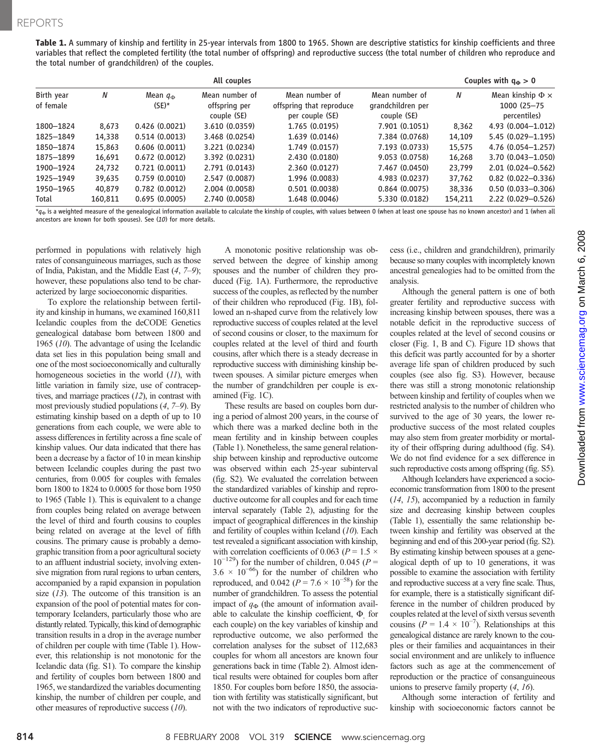Table 1. A summary of kinship and fertility in 25-year intervals from 1800 to 1965. Shown are descriptive statistics for kinship coefficients and three variables that reflect the completed fertility (the total number of offspring) and reproductive success (the total number of children who reproduce and the total number of grandchildren) of the couples.

|                         | All couples |                                 |                                                |                                                               |                                                    |         | Couples with $q_{\Phi} > 0$                               |  |
|-------------------------|-------------|---------------------------------|------------------------------------------------|---------------------------------------------------------------|----------------------------------------------------|---------|-----------------------------------------------------------|--|
| Birth year<br>of female | N           | Mean $q_{\text{d}b}$<br>$(SE)*$ | Mean number of<br>offspring per<br>couple (SE) | Mean number of<br>offspring that reproduce<br>per couple (SE) | Mean number of<br>grandchildren per<br>couple (SE) | N       | Mean kinship $\Phi \times$<br>1000 (25-75<br>percentiles) |  |
| 1800-1824               | 8,673       | 0.426(0.0021)                   | 3.610 (0.0359)                                 | 1.765 (0.0195)                                                | 7.901 (0.1051)                                     | 8,362   | $4.93(0.004 - 1.012)$                                     |  |
| 1825-1849               | 14,338      | 0.514(0.0013)                   | 3.468 (0.0254)                                 | 1.639 (0.0146)                                                | 7.384 (0.0768)                                     | 14,109  | $5.45(0.029 - 1.195)$                                     |  |
| 1850-1874               | 15,863      | 0.606(0.0011)                   | 3.221 (0.0234)                                 | 1.749 (0.0157)                                                | 7.193 (0.0733)                                     | 15,575  | $4.76(0.054 - 1.257)$                                     |  |
| 1875-1899               | 16,691      | 0.672(0.0012)                   | 3.392 (0.0231)                                 | 2.430 (0.0180)                                                | 9.053 (0.0758)                                     | 16,268  | $3.70(0.043 - 1.050)$                                     |  |
| 1900-1924               | 24,732      | 0.721(0.0011)                   | 2.791(0.0143)                                  | 2.360(0.0127)                                                 | 7.467 (0.0450)                                     | 23,799  | $2.01(0.024 - 0.562)$                                     |  |
| 1925-1949               | 39,635      | 0.759(0.0010)                   | 2.547 (0.0087)                                 | 1.996 (0.0083)                                                | 4.983 (0.0237)                                     | 37,762  | $0.82(0.022 - 0.336)$                                     |  |
| 1950-1965               | 40,879      | 0.782(0.0012)                   | 2.004 (0.0058)                                 | 0.501(0.0038)                                                 | 0.864(0.0075)                                      | 38,336  | $0.50(0.033 - 0.306)$                                     |  |
| Total                   | 160,811     | 0.695(0.0005)                   | 2.740 (0.0058)                                 | 1.648 (0.0046)                                                | 5.330 (0.0182)                                     | 154,211 | $2.22(0.029 - 0.526)$                                     |  |

 $*_q$  is a weighted measure of the genealogical information available to calculate the kinship of couples, with values between 0 (when at least one spouse has no known ancestor) and 1 (when all ancestors are known for both spouses). See (10) for more details.

performed in populations with relatively high rates of consanguineous marriages, such as those of India, Pakistan, and the Middle East (4, 7–9); however, these populations also tend to be characterized by large socioeconomic disparities.

To explore the relationship between fertility and kinship in humans, we examined 160,811 Icelandic couples from the deCODE Genetics genealogical database born between 1800 and 1965 (10). The advantage of using the Icelandic data set lies in this population being small and one of the most socioeconomically and culturally homogeneous societies in the world (11), with little variation in family size, use of contraceptives, and marriage practices (12), in contrast with most previously studied populations (4, 7–9). By estimating kinship based on a depth of up to 10 generations from each couple, we were able to assess differences in fertility across a fine scale of kinship values. Our data indicated that there has been a decrease by a factor of 10 in mean kinship between Icelandic couples during the past two centuries, from 0.005 for couples with females born 1800 to 1824 to 0.0005 for those born 1950 to 1965 (Table 1). This is equivalent to a change from couples being related on average between the level of third and fourth cousins to couples being related on average at the level of fifth cousins. The primary cause is probably a demographic transition from a poor agricultural society to an affluent industrial society, involving extensive migration from rural regions to urban centers, accompanied by a rapid expansion in population size  $(13)$ . The outcome of this transition is an expansion of the pool of potential mates for contemporary Icelanders, particularly those who are distantly related. Typically, this kind of demographic transition results in a drop in the average number of children per couple with time (Table 1). However, this relationship is not monotonic for the Icelandic data (fig. S1). To compare the kinship and fertility of couples born between 1800 and 1965, we standardized the variables documenting kinship, the number of children per couple, and other measures of reproductive success (10).

A monotonic positive relationship was observed between the degree of kinship among spouses and the number of children they produced (Fig. 1A). Furthermore, the reproductive success of the couples, as reflected by the number of their children who reproduced (Fig. 1B), followed an n-shaped curve from the relatively low reproductive success of couples related at the level of second cousins or closer, to the maximum for couples related at the level of third and fourth cousins, after which there is a steady decrease in reproductive success with diminishing kinship between spouses. A similar picture emerges when the number of grandchildren per couple is examined (Fig. 1C).

These results are based on couples born during a period of almost 200 years, in the course of which there was a marked decline both in the mean fertility and in kinship between couples (Table 1). Nonetheless, the same general relationship between kinship and reproductive outcome was observed within each 25-year subinterval (fig. S2). We evaluated the correlation between the standardized variables of kinship and reproductive outcome for all couples and for each time interval separately (Table 2), adjusting for the impact of geographical differences in the kinship and fertility of couples within Iceland  $(10)$ . Each test revealed a significant association with kinship, with correlation coefficients of 0.063 ( $P = 1.5 \times$  $10^{-129}$ ) for the number of children, 0.045 (P =  $3.6 \times 10^{-66}$ ) for the number of children who reproduced, and 0.042 ( $P = 7.6 \times 10^{-58}$ ) for the number of grandchildren. To assess the potential impact of  $q_{\Phi}$  (the amount of information available to calculate the kinship coefficient,  $\Phi$  for each couple) on the key variables of kinship and reproductive outcome, we also performed the correlation analyses for the subset of 112,683 couples for whom all ancestors are known four generations back in time (Table 2). Almost identical results were obtained for couples born after 1850. For couples born before 1850, the association with fertility was statistically significant, but not with the two indicators of reproductive suc-

cess (i.e., children and grandchildren), primarily because so many couples with incompletely known ancestral genealogies had to be omitted from the analysis.

Although the general pattern is one of both greater fertility and reproductive success with increasing kinship between spouses, there was a notable deficit in the reproductive success of couples related at the level of second cousins or closer (Fig. 1, B and C). Figure 1D shows that this deficit was partly accounted for by a shorter average life span of children produced by such couples (see also fig. S3). However, because there was still a strong monotonic relationship between kinship and fertility of couples when we restricted analysis to the number of children who survived to the age of 30 years, the lower reproductive success of the most related couples may also stem from greater morbidity or mortality of their offspring during adulthood (fig. S4). We do not find evidence for a sex difference in such reproductive costs among offspring (fig. S5).

Although Icelanders have experienced a socioeconomic transformation from 1800 to the present (14, 15), accompanied by a reduction in family size and decreasing kinship between couples (Table 1), essentially the same relationship between kinship and fertility was observed at the beginning and end of this 200-year period (fig. S2). By estimating kinship between spouses at a genealogical depth of up to 10 generations, it was possible to examine the association with fertility and reproductive success at a very fine scale. Thus, for example, there is a statistically significant difference in the number of children produced by couples related at the level of sixth versus seventh cousins ( $P = 1.4 \times 10^{-7}$ ). Relationships at this genealogical distance are rarely known to the couples or their families and acquaintances in their social environment and are unlikely to influence factors such as age at the commencement of reproduction or the practice of consanguineous unions to preserve family property (4, 16).

Although some interaction of fertility and kinship with socioeconomic factors cannot be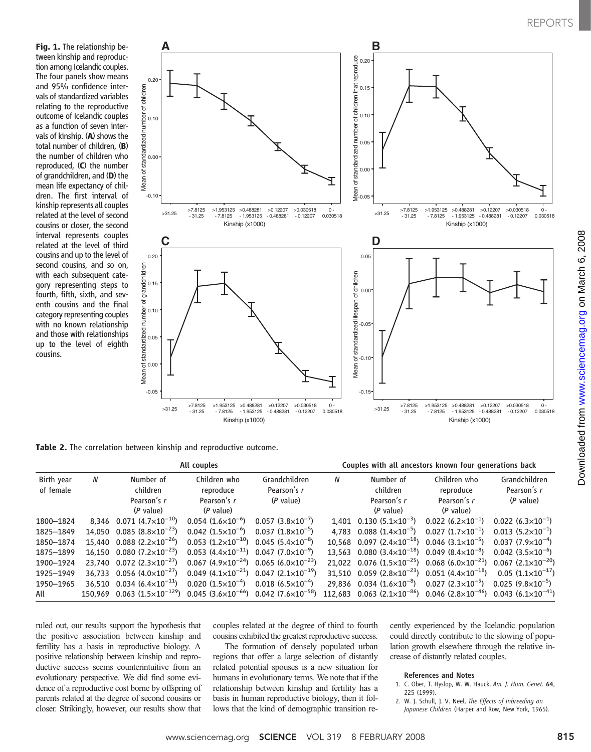Fig. 1. The relationship between kinship and reproduction among Icelandic couples. The four panels show means and 95% confidence intervals of standardized variables relating to the reproductive outcome of Icelandic couples as a function of seven intervals of kinship. (A) shows the total number of children, (B) the number of children who reproduced, (C) the number of grandchildren, and (D) the mean life expectancy of children. The first interval of kinship represents all couples related at the level of second cousins or closer, the second interval represents couples related at the level of third cousins and up to the level of second cousins, and so on, with each subsequent category representing steps to fourth, fifth, sixth, and seventh cousins and the final category representing couples with no known relationship and those with relationships up to the level of eighth cousins.



Table 2. The correlation between kinship and reproductive outcome.

|                         | All couples |                                          |                                                                 |                                                                 |   | Couples with all ancestors known four generations back |                                                                                                   |                              |  |
|-------------------------|-------------|------------------------------------------|-----------------------------------------------------------------|-----------------------------------------------------------------|---|--------------------------------------------------------|---------------------------------------------------------------------------------------------------|------------------------------|--|
| Birth year<br>of female | N           | Number of<br>children                    | Children who<br>reproduce                                       | Grandchildren<br>Pearson's r                                    | Ν | Number of<br>children                                  | Children who<br>reproduce                                                                         | Grandchildren<br>Pearson's r |  |
|                         |             | Pearson's r                              | Pearson's r                                                     | (P value)                                                       |   | Pearson's r                                            | Pearson's r                                                                                       | (P value)                    |  |
|                         |             | (P value)                                | (P value)                                                       |                                                                 |   | (P value)                                              | (P value)                                                                                         |                              |  |
| 1800-1824               |             | 8.346 0.071 $(4.7 \times 10^{-10})$      | $0.054$ $(1.6 \times 10^{-6})$                                  | $0.057$ (3.8 $\times$ 10 <sup>-7</sup> )                        |   | $1.401$ 0.130 $(5.1 \times 10^{-3})$                   | $0.022~(6.2\times10^{-1})$                                                                        | $0.022~(6.3\times10^{-1})$   |  |
| 1825-1849               |             | $14,050$ 0.085 $(8.8 \times 10^{-23})$   | $0.042~(1.5\times10^{-6})$                                      | $0.037(1.8\times10^{-5})$                                       |   | 4,783 0.088 $(1.4 \times 10^{-5})$                     | $0.027$ $(1.7\times10^{-1})$                                                                      | $0.013(5.2\times10^{-1})$    |  |
| 1850-1874               |             | $15.440$ 0.088 $(2.2 \times 10^{-26})$   | $0.053$ (1.2×10 <sup>-10</sup> ) 0.045 (5.4×10 <sup>-8</sup> )  |                                                                 |   |                                                        | 10.568 0.097 $(2.4 \times 10^{-18})$ 0.046 $(3.1 \times 10^{-5})$ 0.037 $(7.9 \times 10^{-4})$    |                              |  |
| 1875-1899               |             | $16.150$ 0.080 $(7.2 \times 10^{-23})$   | $0.053$ (4.4×10 <sup>-11</sup> ) 0.047 (7.0×10 <sup>-9</sup> )  |                                                                 |   |                                                        | 13,563 0.080 $(3.4 \times 10^{-18})$ 0.049 $(8.4 \times 10^{-8})$ 0.042 $(3.5 \times 10^{-6})$    |                              |  |
| 1900-1924               |             | 23,740 0.072 $(2.3 \times 10^{-27})$     | $0.067$ (4.9×10 <sup>-24</sup> ) 0.065 (6.0×10 <sup>-23</sup> ) |                                                                 |   |                                                        | 21.022 0.076 $(1.5 \times 10^{-25})$ 0.068 $(6.0 \times 10^{-21})$ 0.067 $(2.1 \times 10^{-20})$  |                              |  |
| 1925-1949               |             | 36.733 0.056 $(4.0 \times 10^{-27})$     |                                                                 | $0.049$ (4.1×10 <sup>-21</sup> ) 0.047 (2.1×10 <sup>-19</sup> ) |   |                                                        | 31.510 0.059 $(2.8 \times 10^{-23})$ 0.051 $(4.4 \times 10^{-18})$                                | $0.05(1.1\times10^{-17})$    |  |
| 1950-1965               |             | 36,510 0.034 $(6.4 \times 10^{-11})$     | $0.020$ $(1.5 \times 10^{-4})$ $0.018$ $(6.5 \times 10^{-4})$   |                                                                 |   | 29,836 0.034 $(1.6 \times 10^{-8})$                    | $0.027$ (2.3×10 <sup>-5</sup> ) 0.025 (9.8×10 <sup>-5</sup> )                                     |                              |  |
| All                     |             | $150,969$ 0.063 $(1.5 \times 10^{-129})$ | $0.045$ (3.6×10 <sup>-66</sup> ) 0.042 (7.6×10 <sup>-58</sup> ) |                                                                 |   |                                                        | 112.683 0.063 $(2.1 \times 10^{-86})$ 0.046 $(2.8 \times 10^{-46})$ 0.043 $(6.1 \times 10^{-41})$ |                              |  |

ruled out, our results support the hypothesis that the positive association between kinship and fertility has a basis in reproductive biology. A positive relationship between kinship and reproductive success seems counterintuitive from an evolutionary perspective. We did find some evidence of a reproductive cost borne by offspring of parents related at the degree of second cousins or closer. Strikingly, however, our results show that

couples related at the degree of third to fourth cousins exhibited the greatest reproductive success.

The formation of densely populated urban regions that offer a large selection of distantly related potential spouses is a new situation for humans in evolutionary terms. We note that if the relationship between kinship and fertility has a basis in human reproductive biology, then it follows that the kind of demographic transition recently experienced by the Icelandic population could directly contribute to the slowing of population growth elsewhere through the relative increase of distantly related couples.

#### References and Notes

- 1. C. Ober, T. Hyslop, W. W. Hauck, Am. J. Hum. Genet. 64, 225 (1999).
- 2. W. J. Schull, J. V. Neel, The Effects of Inbreeding on Japanese Children (Harper and Row, New York, 1965).